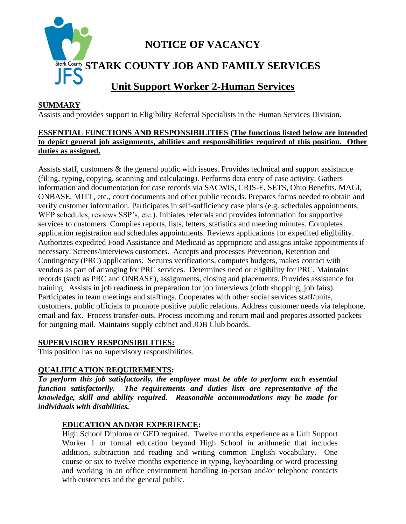

## **SUMMARY**

Assists and provides support to Eligibility Referral Specialists in the Human Services Division.

## **ESSENTIAL FUNCTIONS AND RESPONSIBILITIES (The functions listed below are intended to depict general job assignments, abilities and responsibilities required of this position. Other duties as assigned.**

Assists staff, customers & the general public with issues. Provides technical and support assistance (filing, typing, copying, scanning and calculating). Performs data entry of case activity. Gathers information and documentation for case records via SACWIS, CRIS-E, SETS, Ohio Benefits, MAGI, ONBASE, MITT, etc., court documents and other public records. Prepares forms needed to obtain and verify customer information. Participates in self-sufficiency case plans (e.g. schedules appointments, WEP schedules, reviews SSP's, etc.). Initiates referrals and provides information for supportive services to customers. Compiles reports, lists, letters, statistics and meeting minutes. Completes application registration and schedules appointments. Reviews applications for expedited eligibility. Authorizes expedited Food Assistance and Medicaid as appropriate and assigns intake appointments if necessary. Screens/interviews customers. Accepts and processes Prevention, Retention and Contingency (PRC) applications. Secures verifications, computes budgets, makes contact with vendors as part of arranging for PRC services. Determines need or eligibility for PRC. Maintains records (such as PRC and ONBASE), assignments, closing and placements. Provides assistance for training. Assists in job readiness in preparation for job interviews (cloth shopping, job fairs). Participates in team meetings and staffings. Cooperates with other social services staff/units, customers, public officials to promote positive public relations. Address customer needs via telephone, email and fax. Process transfer-outs. Process incoming and return mail and prepares assorted packets for outgoing mail. Maintains supply cabinet and JOB Club boards.

#### **SUPERVISORY RESPONSIBILITIES:**

This position has no supervisory responsibilities.

#### **QUALIFICATION REQUIREMENTS:**

*To perform this job satisfactorily, the employee must be able to perform each essential function satisfactorily. The requirements and duties lists are representative of the knowledge, skill and ability required. Reasonable accommodations may be made for individuals with disabilities.*

# **EDUCATION AND/OR EXPERIENCE:**

High School Diploma or GED required. Twelve months experience as a Unit Support Worker 1 or formal education beyond High School in arithmetic that includes addition, subtraction and reading and writing common English vocabulary. One course or six to twelve months experience in typing, keyboarding or word processing and working in an office environment handling in-person and/or telephone contacts with customers and the general public.